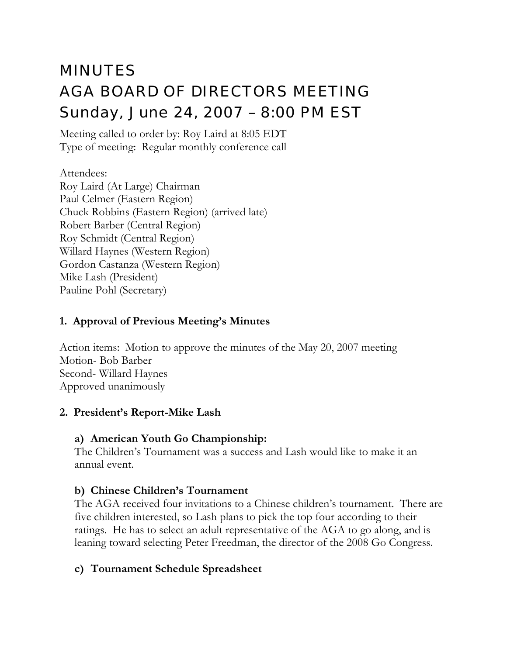# MINUTES AGA BOARD OF DIRECTORS MEETING Sunday, June 24, 2007 – 8:00 PM EST

Meeting called to order by: Roy Laird at 8:05 EDT Type of meeting: Regular monthly conference call

Attendees: Roy Laird (At Large) Chairman Paul Celmer (Eastern Region) Chuck Robbins (Eastern Region) (arrived late) Robert Barber (Central Region) Roy Schmidt (Central Region) Willard Haynes (Western Region) Gordon Castanza (Western Region) Mike Lash (President) Pauline Pohl (Secretary)

#### **1. Approval of Previous Meeting's Minutes**

Action items: Motion to approve the minutes of the May 20, 2007 meeting Motion- Bob Barber Second- Willard Haynes Approved unanimously

#### **2. President's Report-Mike Lash**

#### **a) American Youth Go Championship:**

The Children's Tournament was a success and Lash would like to make it an annual event.

# **b) Chinese Children's Tournament**

The AGA received four invitations to a Chinese children's tournament. There are five children interested, so Lash plans to pick the top four according to their ratings. He has to select an adult representative of the AGA to go along, and is leaning toward selecting Peter Freedman, the director of the 2008 Go Congress.

# **c) Tournament Schedule Spreadsheet**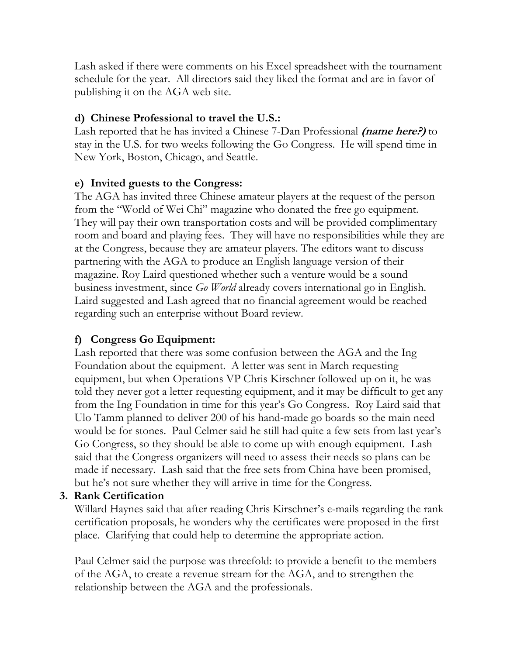Lash asked if there were comments on his Excel spreadsheet with the tournament schedule for the year. All directors said they liked the format and are in favor of publishing it on the AGA web site.

### **d) Chinese Professional to travel the U.S.:**

Lash reported that he has invited a Chinese 7-Dan Professional **(name here?)** to stay in the U.S. for two weeks following the Go Congress. He will spend time in New York, Boston, Chicago, and Seattle.

#### **e) Invited guests to the Congress:**

The AGA has invited three Chinese amateur players at the request of the person from the "World of Wei Chi" magazine who donated the free go equipment. They will pay their own transportation costs and will be provided complimentary room and board and playing fees. They will have no responsibilities while they are at the Congress, because they are amateur players. The editors want to discuss partnering with the AGA to produce an English language version of their magazine. Roy Laird questioned whether such a venture would be a sound business investment, since *Go World* already covers international go in English. Laird suggested and Lash agreed that no financial agreement would be reached regarding such an enterprise without Board review.

# **f) Congress Go Equipment:**

Lash reported that there was some confusion between the AGA and the Ing Foundation about the equipment. A letter was sent in March requesting equipment, but when Operations VP Chris Kirschner followed up on it, he was told they never got a letter requesting equipment, and it may be difficult to get any from the Ing Foundation in time for this year's Go Congress. Roy Laird said that Ulo Tamm planned to deliver 200 of his hand-made go boards so the main need would be for stones. Paul Celmer said he still had quite a few sets from last year's Go Congress, so they should be able to come up with enough equipment. Lash said that the Congress organizers will need to assess their needs so plans can be made if necessary. Lash said that the free sets from China have been promised, but he's not sure whether they will arrive in time for the Congress.

# **3. Rank Certification**

Willard Haynes said that after reading Chris Kirschner's e-mails regarding the rank certification proposals, he wonders why the certificates were proposed in the first place. Clarifying that could help to determine the appropriate action.

Paul Celmer said the purpose was threefold: to provide a benefit to the members of the AGA, to create a revenue stream for the AGA, and to strengthen the relationship between the AGA and the professionals.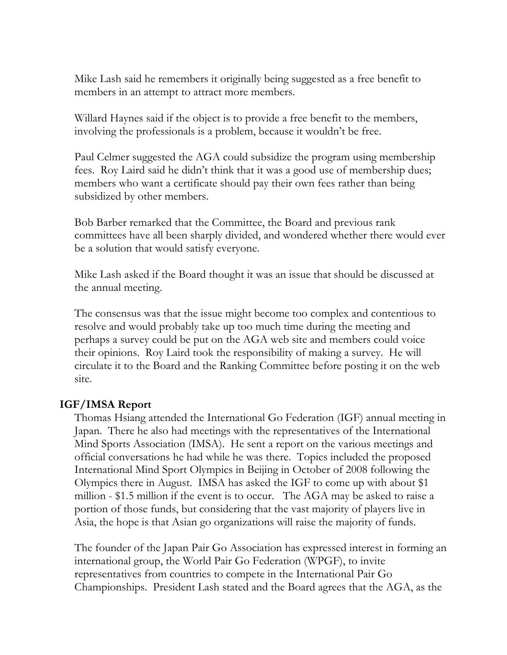Mike Lash said he remembers it originally being suggested as a free benefit to members in an attempt to attract more members.

Willard Haynes said if the object is to provide a free benefit to the members, involving the professionals is a problem, because it wouldn't be free.

Paul Celmer suggested the AGA could subsidize the program using membership fees. Roy Laird said he didn't think that it was a good use of membership dues; members who want a certificate should pay their own fees rather than being subsidized by other members.

Bob Barber remarked that the Committee, the Board and previous rank committees have all been sharply divided, and wondered whether there would ever be a solution that would satisfy everyone.

Mike Lash asked if the Board thought it was an issue that should be discussed at the annual meeting.

The consensus was that the issue might become too complex and contentious to resolve and would probably take up too much time during the meeting and perhaps a survey could be put on the AGA web site and members could voice their opinions. Roy Laird took the responsibility of making a survey. He will circulate it to the Board and the Ranking Committee before posting it on the web site.

#### **IGF/IMSA Report**

Thomas Hsiang attended the International Go Federation (IGF) annual meeting in Japan. There he also had meetings with the representatives of the International Mind Sports Association (IMSA). He sent a report on the various meetings and official conversations he had while he was there. Topics included the proposed International Mind Sport Olympics in Beijing in October of 2008 following the Olympics there in August. IMSA has asked the IGF to come up with about \$1 million - \$1.5 million if the event is to occur. The AGA may be asked to raise a portion of those funds, but considering that the vast majority of players live in Asia, the hope is that Asian go organizations will raise the majority of funds.

The founder of the Japan Pair Go Association has expressed interest in forming an international group, the World Pair Go Federation (WPGF), to invite representatives from countries to compete in the International Pair Go Championships. President Lash stated and the Board agrees that the AGA, as the